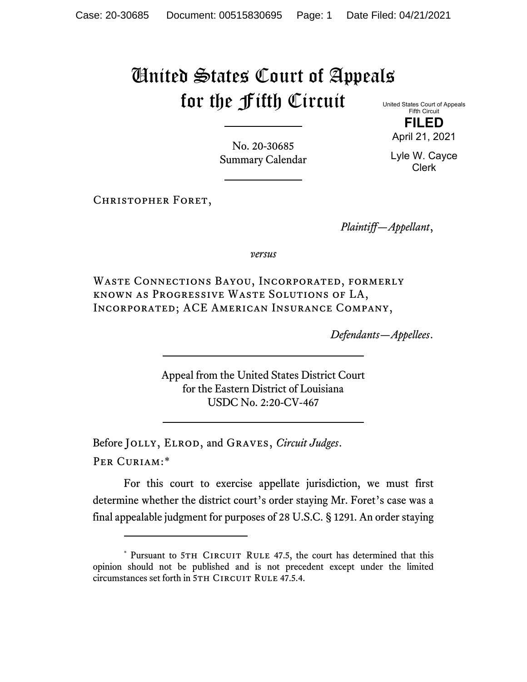## United States Court of Appeals for the Fifth Circuit

United States Court of Appeals Fifth Circuit

No. 20-30685 Summary Calendar

Christopher Foret,

*Plaintiff—Appellant*,

*versus*

Waste Connections Bayou, Incorporated, formerly known as Progressive Waste Solutions of LA, Incorporated; ACE American Insurance Company,

*Defendants—Appellees*.

Appeal from the United States District Court for the Eastern District of Louisiana USDC No. 2:20-CV-467

Before Jolly, Elrod, and Graves, *Circuit Judges*. Per Curiam:[\\*](#page-0-0)

For this court to exercise appellate jurisdiction, we must first determine whether the district court's order staying Mr. Foret's case was a final appealable judgment for purposes of 28 U.S.C. § 1291. An order staying

**FILED** April 21, 2021

Lyle W. Cayce Clerk

<span id="page-0-0"></span><sup>\*</sup> Pursuant to 5TH CIRCUIT RULE 47.5, the court has determined that this opinion should not be published and is not precedent except under the limited circumstances set forth in 5TH CIRCUIT RULE 47.5.4.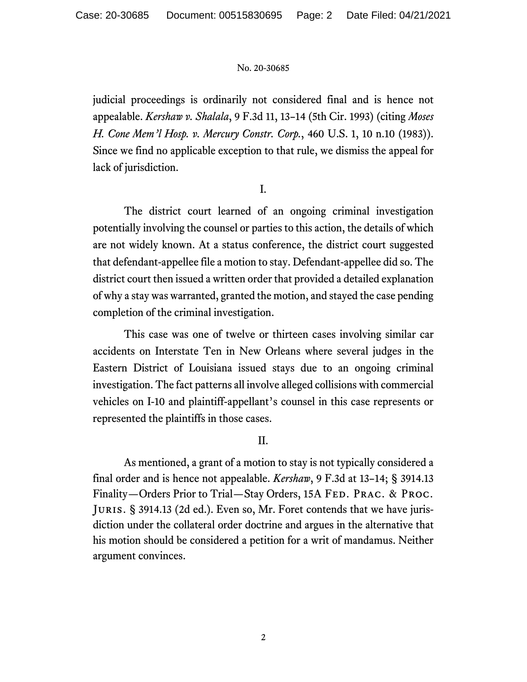## No. 20-30685

judicial proceedings is ordinarily not considered final and is hence not appealable. *Kershaw v. Shalala*, 9 F.3d 11, 13–14 (5th Cir. 1993) (citing *Moses H. Cone Mem'l Hosp. v. Mercury Constr. Corp.*, 460 U.S. 1, 10 n.10 (1983)). Since we find no applicable exception to that rule, we dismiss the appeal for lack of jurisdiction.

I.

The district court learned of an ongoing criminal investigation potentially involving the counsel or parties to this action, the details of which are not widely known. At a status conference, the district court suggested that defendant-appellee file a motion to stay. Defendant-appellee did so. The district court then issued a written order that provided a detailed explanation of why a stay was warranted, granted the motion, and stayed the case pending completion of the criminal investigation.

This case was one of twelve or thirteen cases involving similar car accidents on Interstate Ten in New Orleans where several judges in the Eastern District of Louisiana issued stays due to an ongoing criminal investigation. The fact patterns all involve alleged collisions with commercial vehicles on I-10 and plaintiff-appellant's counsel in this case represents or represented the plaintiffs in those cases.

II.

As mentioned, a grant of a motion to stay is not typically considered a final order and is hence not appealable. *Kershaw*, 9 F.3d at 13–14; § 3914.13 Finality—Orders Prior to Trial—Stay Orders, 15A FED. PRAC. & PROC. Juris. § 3914.13 (2d ed.). Even so, Mr. Foret contends that we have jurisdiction under the collateral order doctrine and argues in the alternative that his motion should be considered a petition for a writ of mandamus. Neither argument convinces.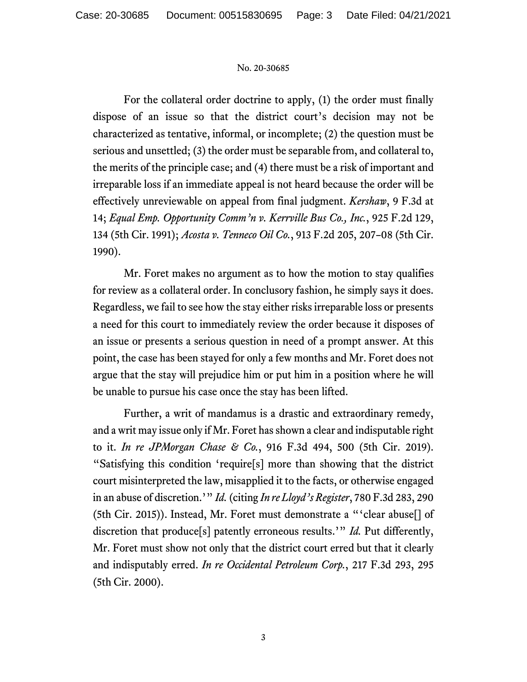## No. 20-30685

For the collateral order doctrine to apply, (1) the order must finally dispose of an issue so that the district court's decision may not be characterized as tentative, informal, or incomplete; (2) the question must be serious and unsettled; (3) the order must be separable from, and collateral to, the merits of the principle case; and (4) there must be a risk of important and irreparable loss if an immediate appeal is not heard because the order will be effectively unreviewable on appeal from final judgment. *Kershaw*, 9 F.3d at 14; *Equal Emp. Opportunity Comm'n v. Kerrville Bus Co., Inc.*, 925 F.2d 129, 134 (5th Cir. 1991); *Acosta v. Tenneco Oil Co.*, 913 F.2d 205, 207–08 (5th Cir. 1990).

Mr. Foret makes no argument as to how the motion to stay qualifies for review as a collateral order. In conclusory fashion, he simply says it does. Regardless, we fail to see how the stay either risks irreparable loss or presents a need for this court to immediately review the order because it disposes of an issue or presents a serious question in need of a prompt answer. At this point, the case has been stayed for only a few months and Mr. Foret does not argue that the stay will prejudice him or put him in a position where he will be unable to pursue his case once the stay has been lifted.

Further, a writ of mandamus is a drastic and extraordinary remedy, and a writ may issue only if Mr. Foret has shown a clear and indisputable right to it. *In re JPMorgan Chase & Co.*, 916 F.3d 494, 500 (5th Cir. 2019). "Satisfying this condition 'require[s] more than showing that the district court misinterpreted the law, misapplied it to the facts, or otherwise engaged in an abuse of discretion.'" *Id.* (citing *In re Lloyd's Register*, 780 F.3d 283, 290 (5th Cir. 2015)). Instead, Mr. Foret must demonstrate a "'clear abuse[] of discretion that produce[s] patently erroneous results.'" *Id.* Put differently, Mr. Foret must show not only that the district court erred but that it clearly and indisputably erred. *In re Occidental Petroleum Corp.*, 217 F.3d 293, 295 (5th Cir. 2000).